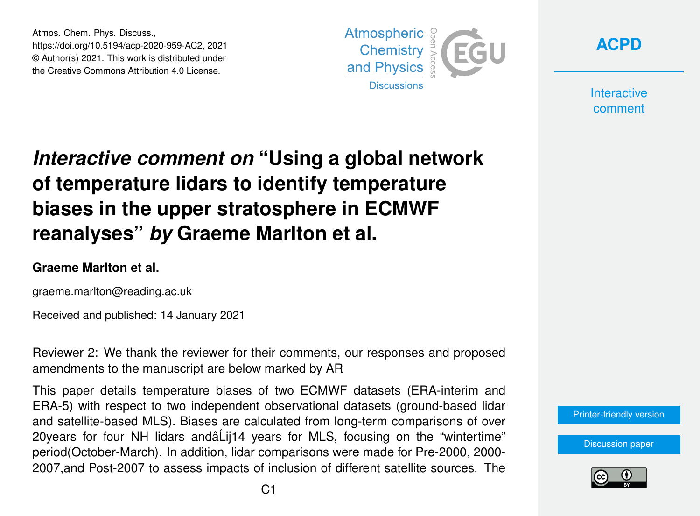Atmos. Chem. Phys. Discuss., https://doi.org/10.5194/acp-2020-959-AC2, 2021 © Author(s) 2021. This work is distributed under the Creative Commons Attribution 4.0 License.





**Interactive** comment

# *Interactive comment on* **"Using a global network of temperature lidars to identify temperature biases in the upper stratosphere in ECMWF reanalyses"** *by* **Graeme Marlton et al.**

#### **Graeme Marlton et al.**

graeme.marlton@reading.ac.uk

Received and published: 14 January 2021

Reviewer 2: We thank the reviewer for their comments, our responses and proposed amendments to the manuscript are below marked by AR

This paper details temperature biases of two ECMWF datasets (ERA-interim and ERA-5) with respect to two independent observational datasets (ground-based lidar and satellite-based MLS). Biases are calculated from long-term comparisons of over 20years for four NH lidars andâ Lij14 years for MLS, focusing on the "wintertime" period(October-March). In addition, lidar comparisons were made for Pre-2000, 2000- 2007,and Post-2007 to assess impacts of inclusion of different satellite sources. The



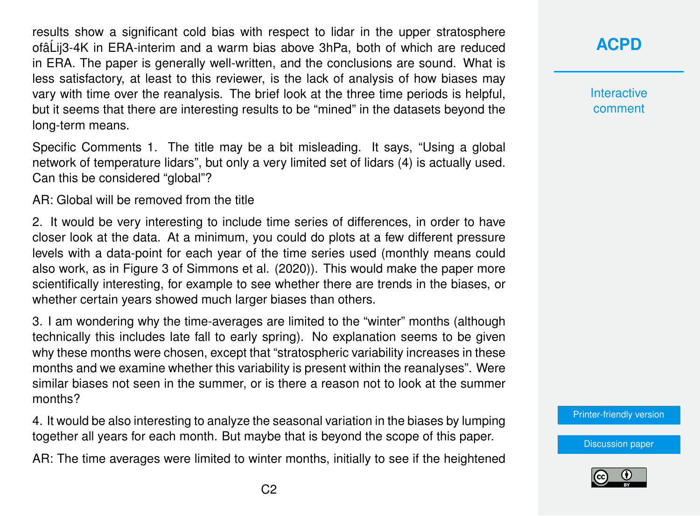results show a significant cold bias with respect to lidar in the upper stratosphere ofâ´Lij3-4K in ERA-interim and a warm bias above 3hPa, both of which are reduced in ERA. The paper is generally well-written, and the conclusions are sound. What is less satisfactory, at least to this reviewer, is the lack of analysis of how biases may vary with time over the reanalysis. The brief look at the three time periods is helpful, but it seems that there are interesting results to be "mined" in the datasets beyond the long-term means.

Specific Comments 1. The title may be a bit misleading. It says, "Using a global network of temperature lidars", but only a very limited set of lidars (4) is actually used. Can this be considered "global"?

AR: Global will be removed from the title

2. It would be very interesting to include time series of differences, in order to have closer look at the data. At a minimum, you could do plots at a few different pressure levels with a data-point for each year of the time series used (monthly means could also work, as in Figure 3 of Simmons et al. (2020)). This would make the paper more scientifically interesting, for example to see whether there are trends in the biases, or whether certain years showed much larger biases than others.

3. I am wondering why the time-averages are limited to the "winter" months (although technically this includes late fall to early spring). No explanation seems to be given why these months were chosen, except that "stratospheric variability increases in these months and we examine whether this variability is present within the reanalyses". Were similar biases not seen in the summer, or is there a reason not to look at the summer months?

4. It would be also interesting to analyze the seasonal variation in the biases by lumping together all years for each month. But maybe that is beyond the scope of this paper.

AR: The time averages were limited to winter months, initially to see if the heightened

#### **[ACPD](https://acp.copernicus.org/preprints/)**

**Interactive** comment

[Printer-friendly version](https://acp.copernicus.org/preprints/acp-2020-959/acp-2020-959-AC2-print.pdf)

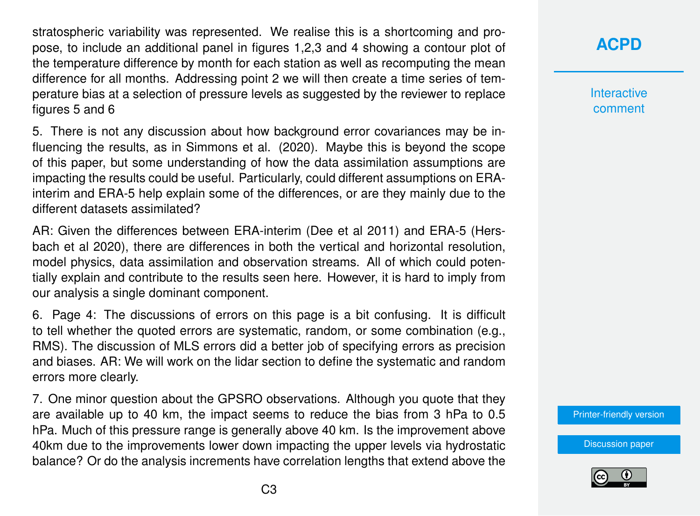stratospheric variability was represented. We realise this is a shortcoming and propose, to include an additional panel in figures 1,2,3 and 4 showing a contour plot of the temperature difference by month for each station as well as recomputing the mean difference for all months. Addressing point 2 we will then create a time series of temperature bias at a selection of pressure levels as suggested by the reviewer to replace figures 5 and 6

5. There is not any discussion about how background error covariances may be influencing the results, as in Simmons et al. (2020). Maybe this is beyond the scope of this paper, but some understanding of how the data assimilation assumptions are impacting the results could be useful. Particularly, could different assumptions on ERAinterim and ERA-5 help explain some of the differences, or are they mainly due to the different datasets assimilated?

AR: Given the differences between ERA-interim (Dee et al 2011) and ERA-5 (Hersbach et al 2020), there are differences in both the vertical and horizontal resolution, model physics, data assimilation and observation streams. All of which could potentially explain and contribute to the results seen here. However, it is hard to imply from our analysis a single dominant component.

6. Page 4: The discussions of errors on this page is a bit confusing. It is difficult to tell whether the quoted errors are systematic, random, or some combination (e.g., RMS). The discussion of MLS errors did a better job of specifying errors as precision and biases. AR: We will work on the lidar section to define the systematic and random errors more clearly.

7. One minor question about the GPSRO observations. Although you quote that they are available up to 40 km, the impact seems to reduce the bias from 3 hPa to 0.5 hPa. Much of this pressure range is generally above 40 km. Is the improvement above 40km due to the improvements lower down impacting the upper levels via hydrostatic balance? Or do the analysis increments have correlation lengths that extend above the

#### **[ACPD](https://acp.copernicus.org/preprints/)**

**Interactive** comment

[Printer-friendly version](https://acp.copernicus.org/preprints/acp-2020-959/acp-2020-959-AC2-print.pdf)

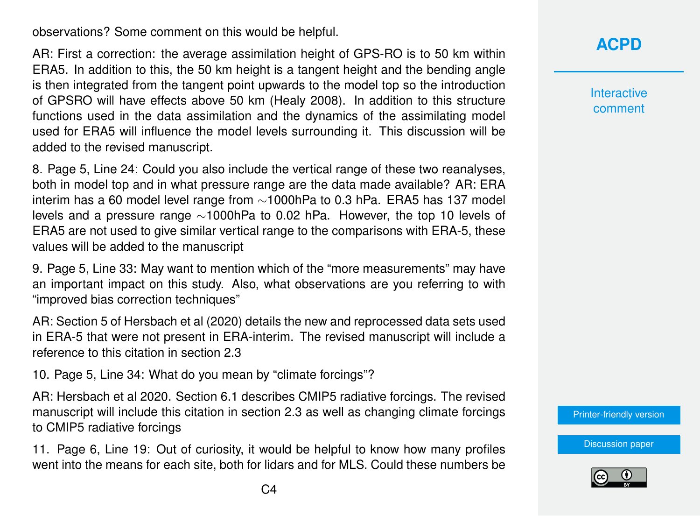observations? Some comment on this would be helpful.

AR: First a correction: the average assimilation height of GPS-RO is to 50 km within ERA5. In addition to this, the 50 km height is a tangent height and the bending angle is then integrated from the tangent point upwards to the model top so the introduction of GPSRO will have effects above 50 km (Healy 2008). In addition to this structure functions used in the data assimilation and the dynamics of the assimilating model used for ERA5 will influence the model levels surrounding it. This discussion will be added to the revised manuscript.

8. Page 5, Line 24: Could you also include the vertical range of these two reanalyses, both in model top and in what pressure range are the data made available? AR: ERA interim has a 60 model level range from ∼1000hPa to 0.3 hPa. ERA5 has 137 model levels and a pressure range ∼1000hPa to 0.02 hPa. However, the top 10 levels of ERA5 are not used to give similar vertical range to the comparisons with ERA-5, these values will be added to the manuscript

9. Page 5, Line 33: May want to mention which of the "more measurements" may have an important impact on this study. Also, what observations are you referring to with "improved bias correction techniques"

AR: Section 5 of Hersbach et al (2020) details the new and reprocessed data sets used in ERA-5 that were not present in ERA-interim. The revised manuscript will include a reference to this citation in section 2.3

10. Page 5, Line 34: What do you mean by "climate forcings"?

AR: Hersbach et al 2020. Section 6.1 describes CMIP5 radiative forcings. The revised manuscript will include this citation in section 2.3 as well as changing climate forcings to CMIP5 radiative forcings

11. Page 6, Line 19: Out of curiosity, it would be helpful to know how many profiles went into the means for each site, both for lidars and for MLS. Could these numbers be **Interactive** comment

[Printer-friendly version](https://acp.copernicus.org/preprints/acp-2020-959/acp-2020-959-AC2-print.pdf)

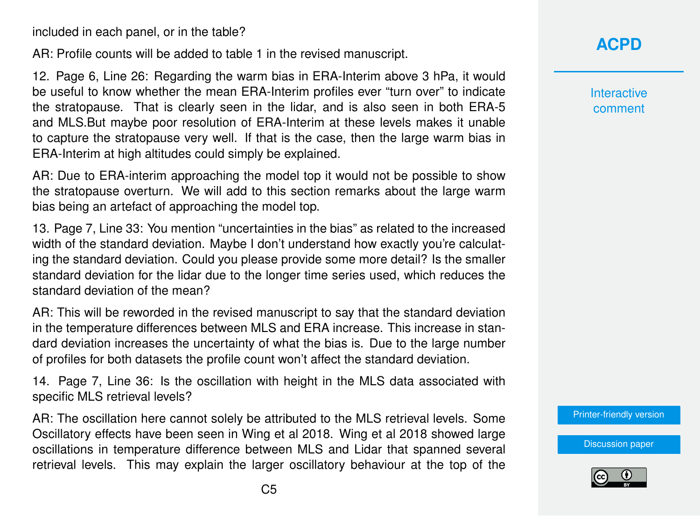included in each panel, or in the table?

AR: Profile counts will be added to table 1 in the revised manuscript.

12. Page 6, Line 26: Regarding the warm bias in ERA-Interim above 3 hPa, it would be useful to know whether the mean ERA-Interim profiles ever "turn over" to indicate the stratopause. That is clearly seen in the lidar, and is also seen in both ERA-5 and MLS.But maybe poor resolution of ERA-Interim at these levels makes it unable to capture the stratopause very well. If that is the case, then the large warm bias in ERA-Interim at high altitudes could simply be explained.

AR: Due to ERA-interim approaching the model top it would not be possible to show the stratopause overturn. We will add to this section remarks about the large warm bias being an artefact of approaching the model top.

13. Page 7, Line 33: You mention "uncertainties in the bias" as related to the increased width of the standard deviation. Maybe I don't understand how exactly you're calculating the standard deviation. Could you please provide some more detail? Is the smaller standard deviation for the lidar due to the longer time series used, which reduces the standard deviation of the mean?

AR: This will be reworded in the revised manuscript to say that the standard deviation in the temperature differences between MLS and ERA increase. This increase in standard deviation increases the uncertainty of what the bias is. Due to the large number of profiles for both datasets the profile count won't affect the standard deviation.

14. Page 7, Line 36: Is the oscillation with height in the MLS data associated with specific MLS retrieval levels?

AR: The oscillation here cannot solely be attributed to the MLS retrieval levels. Some Oscillatory effects have been seen in Wing et al 2018. Wing et al 2018 showed large oscillations in temperature difference between MLS and Lidar that spanned several retrieval levels. This may explain the larger oscillatory behaviour at the top of the

### **[ACPD](https://acp.copernicus.org/preprints/)**

**Interactive** comment

[Printer-friendly version](https://acp.copernicus.org/preprints/acp-2020-959/acp-2020-959-AC2-print.pdf)

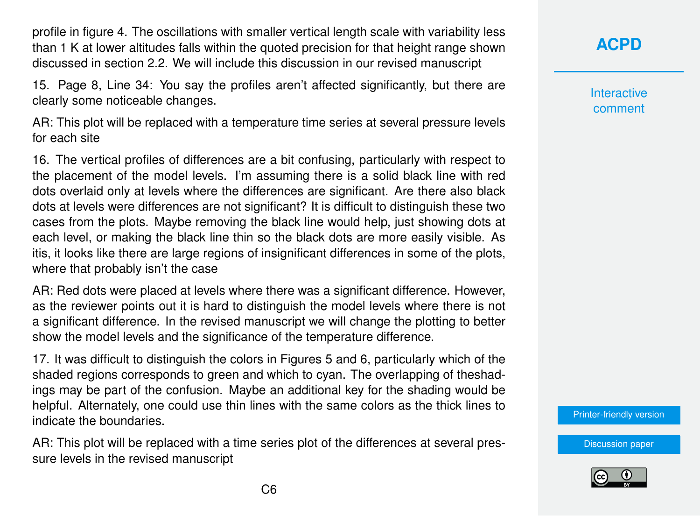profile in figure 4. The oscillations with smaller vertical length scale with variability less than 1 K at lower altitudes falls within the quoted precision for that height range shown discussed in section 2.2. We will include this discussion in our revised manuscript

15. Page 8, Line 34: You say the profiles aren't affected significantly, but there are clearly some noticeable changes.

AR: This plot will be replaced with a temperature time series at several pressure levels for each site

16. The vertical profiles of differences are a bit confusing, particularly with respect to the placement of the model levels. I'm assuming there is a solid black line with red dots overlaid only at levels where the differences are significant. Are there also black dots at levels were differences are not significant? It is difficult to distinguish these two cases from the plots. Maybe removing the black line would help, just showing dots at each level, or making the black line thin so the black dots are more easily visible. As itis, it looks like there are large regions of insignificant differences in some of the plots, where that probably isn't the case

AR: Red dots were placed at levels where there was a significant difference. However, as the reviewer points out it is hard to distinguish the model levels where there is not a significant difference. In the revised manuscript we will change the plotting to better show the model levels and the significance of the temperature difference.

17. It was difficult to distinguish the colors in Figures 5 and 6, particularly which of the shaded regions corresponds to green and which to cyan. The overlapping of theshadings may be part of the confusion. Maybe an additional key for the shading would be helpful. Alternately, one could use thin lines with the same colors as the thick lines to indicate the boundaries.

AR: This plot will be replaced with a time series plot of the differences at several pressure levels in the revised manuscript

**[ACPD](https://acp.copernicus.org/preprints/)**

**Interactive** comment

[Printer-friendly version](https://acp.copernicus.org/preprints/acp-2020-959/acp-2020-959-AC2-print.pdf)

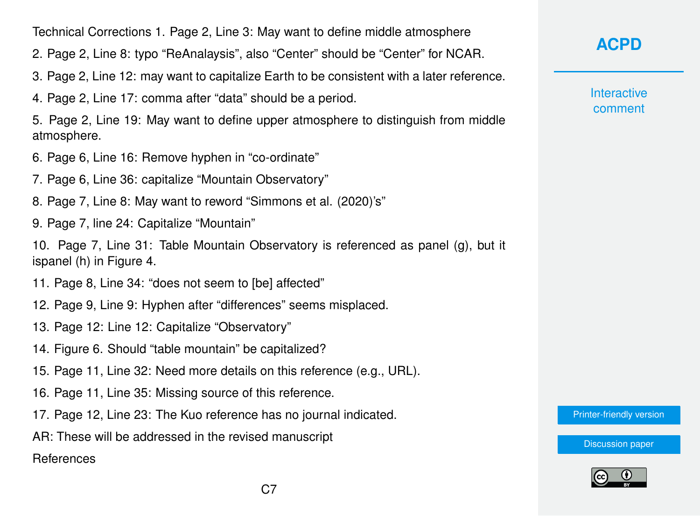Technical Corrections 1. Page 2, Line 3: May want to define middle atmosphere

2. Page 2, Line 8: typo "ReAnalaysis", also "Center" should be "Center" for NCAR.

- 3. Page 2, Line 12: may want to capitalize Earth to be consistent with a later reference.
- 4. Page 2, Line 17: comma after "data" should be a period.

5. Page 2, Line 19: May want to define upper atmosphere to distinguish from middle atmosphere.

- 6. Page 6, Line 16: Remove hyphen in "co-ordinate"
- 7. Page 6, Line 36: capitalize "Mountain Observatory"
- 8. Page 7, Line 8: May want to reword "Simmons et al. (2020)'s"
- 9. Page 7, line 24: Capitalize "Mountain"

10. Page 7, Line 31: Table Mountain Observatory is referenced as panel (g), but it ispanel (h) in Figure 4.

- 11. Page 8, Line 34: "does not seem to [be] affected"
- 12. Page 9, Line 9: Hyphen after "differences" seems misplaced.
- 13. Page 12: Line 12: Capitalize "Observatory"
- 14. Figure 6. Should "table mountain" be capitalized?
- 15. Page 11, Line 32: Need more details on this reference (e.g., URL).
- 16. Page 11, Line 35: Missing source of this reference.
- 17. Page 12, Line 23: The Kuo reference has no journal indicated.
- AR: These will be addressed in the revised manuscript

References

## **[ACPD](https://acp.copernicus.org/preprints/)**

**Interactive** comment

[Printer-friendly version](https://acp.copernicus.org/preprints/acp-2020-959/acp-2020-959-AC2-print.pdf)